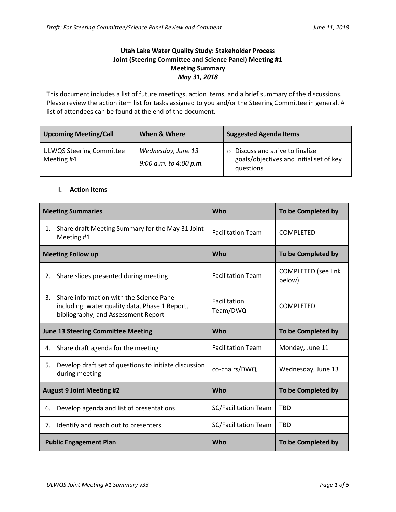## **Utah Lake Water Quality Study: Stakeholder Process Joint (Steering Committee and Science Panel) Meeting #1 Meeting Summary** *May 31, 2018*

This document includes a list of future meetings, action items, and a brief summary of the discussions. Please review the action item list for tasks assigned to you and/or the Steering Committee in general. A list of attendees can be found at the end of the document.

| <b>Upcoming Meeting/Call</b>                  | When & Where                                 | <b>Suggested Agenda Items</b>                                                                     |  |
|-----------------------------------------------|----------------------------------------------|---------------------------------------------------------------------------------------------------|--|
| <b>ULWQS Steering Committee</b><br>Meeting #4 | Wednesday, June 13<br>9:00 a.m. to 4:00 p.m. | Discuss and strive to finalize<br>$\circ$<br>goals/objectives and initial set of key<br>questions |  |

#### **I. Action Items**

| <b>Meeting Summaries</b>                  |                                                                                                                                   | <b>Who</b>                  | To be Completed by                   |
|-------------------------------------------|-----------------------------------------------------------------------------------------------------------------------------------|-----------------------------|--------------------------------------|
| 1.                                        | Share draft Meeting Summary for the May 31 Joint<br>Meeting #1                                                                    | <b>Facilitation Team</b>    | <b>COMPLETED</b>                     |
| <b>Meeting Follow up</b>                  |                                                                                                                                   | Who                         | To be Completed by                   |
| 2.                                        | Share slides presented during meeting                                                                                             | <b>Facilitation Team</b>    | <b>COMPLETED</b> (see link<br>below) |
| 3.                                        | Share information with the Science Panel<br>including: water quality data, Phase 1 Report,<br>bibliography, and Assessment Report | Facilitation<br>Team/DWQ    | <b>COMPLETED</b>                     |
| <b>June 13 Steering Committee Meeting</b> |                                                                                                                                   | <b>Who</b>                  | To be Completed by                   |
| 4.                                        | Share draft agenda for the meeting                                                                                                | <b>Facilitation Team</b>    | Monday, June 11                      |
| 5.                                        | Develop draft set of questions to initiate discussion<br>during meeting                                                           | co-chairs/DWQ               | Wednesday, June 13                   |
| <b>August 9 Joint Meeting #2</b>          |                                                                                                                                   | <b>Who</b>                  | To be Completed by                   |
| 6.                                        | Develop agenda and list of presentations                                                                                          | <b>SC/Facilitation Team</b> | <b>TBD</b>                           |
| 7.                                        | Identify and reach out to presenters                                                                                              | <b>SC/Facilitation Team</b> | <b>TBD</b>                           |
|                                           | <b>Public Engagement Plan</b>                                                                                                     | <b>Who</b>                  | To be Completed by                   |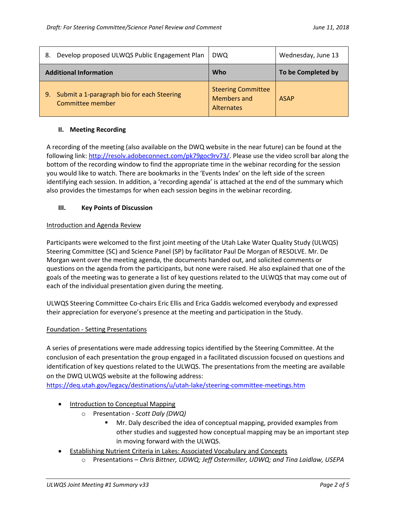| Develop proposed ULWQS Public Engagement Plan<br>8.                  | <b>DWQ</b>                                                           | Wednesday, June 13 |
|----------------------------------------------------------------------|----------------------------------------------------------------------|--------------------|
| <b>Additional Information</b>                                        | <b>Who</b>                                                           | To be Completed by |
| Submit a 1-paragraph bio for each Steering<br>9.<br>Committee member | <b>Steering Committee</b><br><b>Members and</b><br><b>Alternates</b> | <b>ASAP</b>        |

### **II. Meeting Recording**

A recording of the meeting (also available on the DWQ website in the near future) can be found at the following link:<http://resolv.adobeconnect.com/pk79goc9rv73/>. Please use the video scroll bar along the bottom of the recording window to find the appropriate time in the webinar recording for the session you would like to watch. There are bookmarks in the 'Events Index' on the left side of the screen identifying each session. In addition, a 'recording agenda' is attached at the end of the summary which also provides the timestamps for when each session begins in the webinar recording.

### **III. Key Points of Discussion**

### Introduction and Agenda Review

Participants were welcomed to the first joint meeting of the Utah Lake Water Quality Study (ULWQS) Steering Committee (SC) and Science Panel (SP) by facilitator Paul De Morgan of RESOLVE. Mr. De Morgan went over the meeting agenda, the documents handed out, and solicited comments or questions on the agenda from the participants, but none were raised. He also explained that one of the goals of the meeting was to generate a list of key questions related to the ULWQS that may come out of each of the individual presentation given during the meeting.

ULWQS Steering Committee Co-chairs Eric Ellis and Erica Gaddis welcomed everybody and expressed their appreciation for everyone's presence at the meeting and participation in the Study.

# Foundation - Setting Presentations

A series of presentations were made addressing topics identified by the Steering Committee. At the conclusion of each presentation the group engaged in a facilitated discussion focused on questions and identification of key questions related to the ULWQS. The presentations from the meeting are available on the DWQ ULWQS website at the following address:

<https://deq.utah.gov/legacy/destinations/u/utah-lake/steering-committee-meetings.htm>

- Introduction to Conceptual Mapping
	- o Presentation *Scott Daly (DWQ)*
		- Mr. Daly described the idea of conceptual mapping, provided examples from other studies and suggested how conceptual mapping may be an important step in moving forward with the ULWQS.
- Establishing Nutrient Criteria in Lakes: Associated Vocabulary and Concepts
	- o Presentations *Chris Bittner, UDWQ; Jeff Ostermiller, UDWQ; and Tina Laidlaw, USEPA*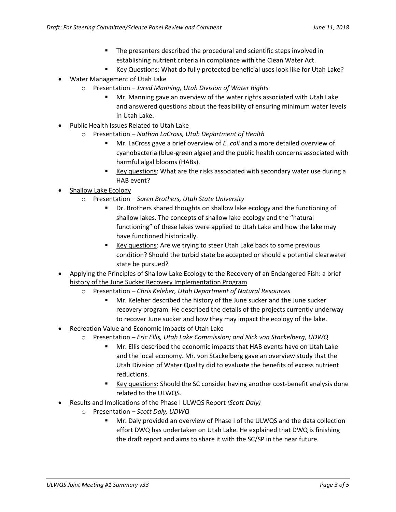- The presenters described the procedural and scientific steps involved in establishing nutrient criteria in compliance with the Clean Water Act.
- Key Questions: What do fully protected beneficial uses look like for Utah Lake?
- Water Management of Utah Lake
	- o Presentation *Jared Manning, Utah Division of Water Rights*
		- Mr. Manning gave an overview of the water rights associated with Utah Lake and answered questions about the feasibility of ensuring minimum water levels in Utah Lake.
- Public Health Issues Related to Utah Lake
	- o Presentation *Nathan LaCross, Utah Department of Health*
		- Mr. LaCross gave a brief overview of *E. coli* and a more detailed overview of cyanobacteria (blue-green algae) and the public health concerns associated with harmful algal blooms (HABs).
		- Key questions: What are the risks associated with secondary water use during a HAB event?
- Shallow Lake Ecology
	- o Presentation *Soren Brothers, Utah State University*
		- Dr. Brothers shared thoughts on shallow lake ecology and the functioning of shallow lakes. The concepts of shallow lake ecology and the "natural functioning" of these lakes were applied to Utah Lake and how the lake may have functioned historically.
		- Key questions: Are we trying to steer Utah Lake back to some previous condition? Should the turbid state be accepted or should a potential clearwater state be pursued?
- Applying the Principles of Shallow Lake Ecology to the Recovery of an Endangered Fish: a brief history of the June Sucker Recovery Implementation Program
	- o Presentation *Chris Keleher, Utah Department of Natural Resources*
		- Mr. Keleher described the history of the June sucker and the June sucker recovery program. He described the details of the projects currently underway to recover June sucker and how they may impact the ecology of the lake.
- Recreation Value and Economic Impacts of Utah Lake
	- o Presentation *Eric Ellis, Utah Lake Commission; and Nick von Stackelberg, UDWQ*
		- Mr. Ellis described the economic impacts that HAB events have on Utah Lake and the local economy. Mr. von Stackelberg gave an overview study that the Utah Division of Water Quality did to evaluate the benefits of excess nutrient reductions.
		- Key questions: Should the SC consider having another cost-benefit analysis done related to the ULWQS.
- Results and Implications of the Phase I ULWQS Report *(Scott Daly)*
	- o Presentation *Scott Daly, UDWQ*
		- Mr. Daly provided an overview of Phase I of the ULWQS and the data collection effort DWQ has undertaken on Utah Lake. He explained that DWQ is finishing the draft report and aims to share it with the SC/SP in the near future.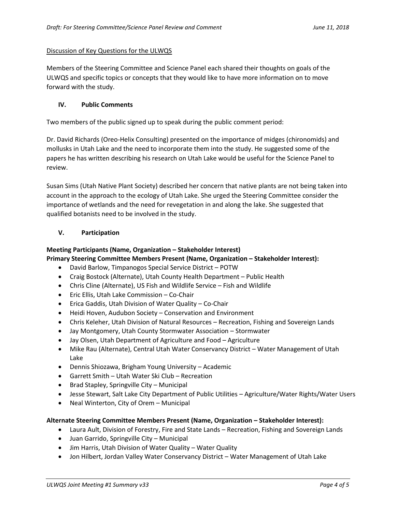### Discussion of Key Questions for the ULWQS

Members of the Steering Committee and Science Panel each shared their thoughts on goals of the ULWQS and specific topics or concepts that they would like to have more information on to move forward with the study.

### **IV. Public Comments**

Two members of the public signed up to speak during the public comment period:

Dr. David Richards (Oreo-Helix Consulting) presented on the importance of midges (chironomids) and mollusks in Utah Lake and the need to incorporate them into the study. He suggested some of the papers he has written describing his research on Utah Lake would be useful for the Science Panel to review.

Susan Sims (Utah Native Plant Society) described her concern that native plants are not being taken into account in the approach to the ecology of Utah Lake. She urged the Steering Committee consider the importance of wetlands and the need for revegetation in and along the lake. She suggested that qualified botanists need to be involved in the study.

### **V. Participation**

### **Meeting Participants (Name, Organization – Stakeholder Interest)**

**Primary Steering Committee Members Present (Name, Organization – Stakeholder Interest):**

- David Barlow, Timpanogos Special Service District POTW
- Craig Bostock (Alternate), Utah County Health Department Public Health
- Chris Cline (Alternate), US Fish and Wildlife Service Fish and Wildlife
- Eric Ellis, Utah Lake Commission Co-Chair
- Erica Gaddis, Utah Division of Water Quality Co-Chair
- Heidi Hoven, Audubon Society Conservation and Environment
- Chris Keleher, Utah Division of Natural Resources Recreation, Fishing and Sovereign Lands
- Jay Montgomery, Utah County Stormwater Association Stormwater
- Jay Olsen, Utah Department of Agriculture and Food Agriculture
- Mike Rau (Alternate), Central Utah Water Conservancy District Water Management of Utah Lake
- Dennis Shiozawa, Brigham Young University Academic
- Garrett Smith Utah Water Ski Club Recreation
- $\bullet$  Brad Stapley, Springville City Municipal
- Jesse Stewart, Salt Lake City Department of Public Utilities Agriculture/Water Rights/Water Users
- Neal Winterton, City of Orem Municipal

### **Alternate Steering Committee Members Present (Name, Organization – Stakeholder Interest):**

- Laura Ault, Division of Forestry, Fire and State Lands Recreation, Fishing and Sovereign Lands
- Juan Garrido, Springville City Municipal
- Jim Harris, Utah Division of Water Quality Water Quality
- Jon Hilbert, Jordan Valley Water Conservancy District Water Management of Utah Lake